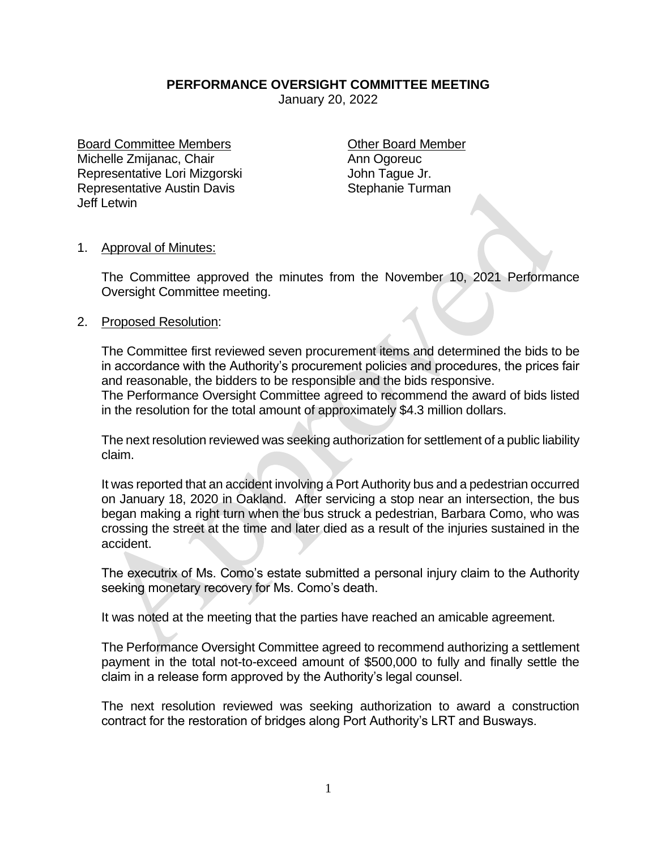## **PERFORMANCE OVERSIGHT COMMITTEE MEETING**

January 20, 2022

Board Committee Members **Committee Member** Michelle Zmijanac, Chair Ann Ogoreuc Representative Lori Mizgorski **Michael Access** John Tague Jr. Representative Austin Davis **Stephanie Turman** Jeff Letwin

## 1. Approval of Minutes:

The Committee approved the minutes from the November 10, 2021 Performance Oversight Committee meeting.

## 2. Proposed Resolution:

The Committee first reviewed seven procurement items and determined the bids to be in accordance with the Authority's procurement policies and procedures, the prices fair and reasonable, the bidders to be responsible and the bids responsive. The Performance Oversight Committee agreed to recommend the award of bids listed

in the resolution for the total amount of approximately \$4.3 million dollars.

The next resolution reviewed was seeking authorization for settlement of a public liability claim.

It was reported that an accident involving a Port Authority bus and a pedestrian occurred on January 18, 2020 in Oakland. After servicing a stop near an intersection, the bus began making a right turn when the bus struck a pedestrian, Barbara Como, who was crossing the street at the time and later died as a result of the injuries sustained in the accident.

The executrix of Ms. Como's estate submitted a personal injury claim to the Authority seeking monetary recovery for Ms. Como's death.

It was noted at the meeting that the parties have reached an amicable agreement.

The Performance Oversight Committee agreed to recommend authorizing a settlement payment in the total not-to-exceed amount of \$500,000 to fully and finally settle the claim in a release form approved by the Authority's legal counsel.

The next resolution reviewed was seeking authorization to award a construction contract for the restoration of bridges along Port Authority's LRT and Busways.